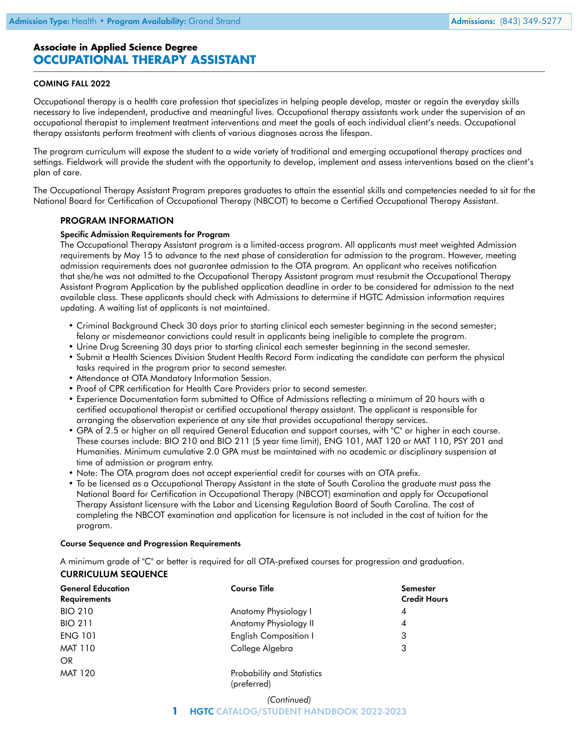# **Associate in Applied Science Degree OCCUPATIONAL THERAPY ASSISTANT**

## COMING FALL 2022

Occupational therapy is a health care profession that specializes in helping people develop, master or regain the everyday skills necessary to live independent, productive and meaningful lives. Occupational therapy assistants work under the supervision of an occupational therapist to implement treatment interventions and meet the goals of each individual client's needs. Occupational therapy assistants perform treatment with clients of various diagnoses across the lifespan.

The program curriculum will expose the student to a wide variety of traditional and emerging occupational therapy practices and settings. Fieldwork will provide the student with the opportunity to develop, implement and assess interventions based on the client's plan of care.

The Occupational Therapy Assistant Program prepares graduates to attain the essential skills and competencies needed to sit for the National Board for Certification of Occupational Therapy (NBCOT) to become a Certified Occupational Therapy Assistant.

## PROGRAM INFORMATION

### Specific Admission Requirements for Program

The Occupational Therapy Assistant program is a limited-access program. All applicants must meet weighted Admission requirements by May 15 to advance to the next phase of consideration for admission to the program. However, meeting admission requirements does not guarantee admission to the OTA program. An applicant who receives notification that she/he was not admitted to the Occupational Therapy Assistant program must resubmit the Occupational Therapy Assistant Program Application by the published application deadline in order to be considered for admission to the next available class. These applicants should check with Admissions to determine if HGTC Admission information requires updating. A waiting list of applicants is not maintained.

- Criminal Background Check 30 days prior to starting clinical each semester beginning in the second semester; felony or misdemeanor convictions could result in applicants being ineligible to complete the program.
- Urine Drug Screening 30 days prior to starting clinical each semester beginning in the second semester.
- Submit a Health Sciences Division Student Health Record Form indicating the candidate can perform the physical tasks required in the program prior to second semester.
- Attendance at OTA Mandatory Information Session.
- Proof of CPR certification for Health Care Providers prior to second semester.
- Experience Documentation form submitted to Office of Admissions reflecting a minimum of 20 hours with a certified occupational therapist or certified occupational therapy assistant. The applicant is responsible for arranging the observation experience at any site that provides occupational therapy services.
- GPA of 2.5 or higher on all required General Education and support courses, with "C" or higher in each course. These courses include: BIO 210 and BIO 211 (5 year time limit), ENG 101, MAT 120 or MAT 110, PSY 201 and Humanities. Minimum cumulative 2.0 GPA must be maintained with no academic or disciplinary suspension at time of admission or program entry.
- Note: The OTA program does not accept experiential credit for courses with an OTA prefix.
- To be licensed as a Occupational Therapy Assistant in the state of South Carolina the graduate must pass the National Board for Certification in Occupational Therapy (NBCOT) examination and apply for Occupational Therapy Assistant licensure with the [Labor and Licensing Regulation Board of South Carolina.](https://www.hgtc.edu/academics/academic-departments/physical-occupational-therapist/https://llr.sc.gov/ot/) The cost of completing the NBCOT examination and application for licensure is not included in the cost of tuition for the program.

### Course Sequence and Progression Requirements

A minimum grade of "C" or better is required for all OTA-prefixed courses for progression and graduation. CURRICULUM SEQUENCE

| <b>General Education</b><br><b>Requirements</b> | <b>Course Title</b>          | <b>Semester</b><br><b>Credit Hours</b> |
|-------------------------------------------------|------------------------------|----------------------------------------|
| <b>BIO 210</b>                                  | Anatomy Physiology I         | 4                                      |
| <b>BIO 211</b>                                  | Anatomy Physiology II        | 4                                      |
| <b>ENG 101</b>                                  | <b>English Composition I</b> | 3                                      |
| <b>MAT 110</b>                                  | College Algebra              | 3                                      |
| OR.                                             |                              |                                        |
| <b>MAT 120</b>                                  | Probability and Statistics   |                                        |

(preferred)